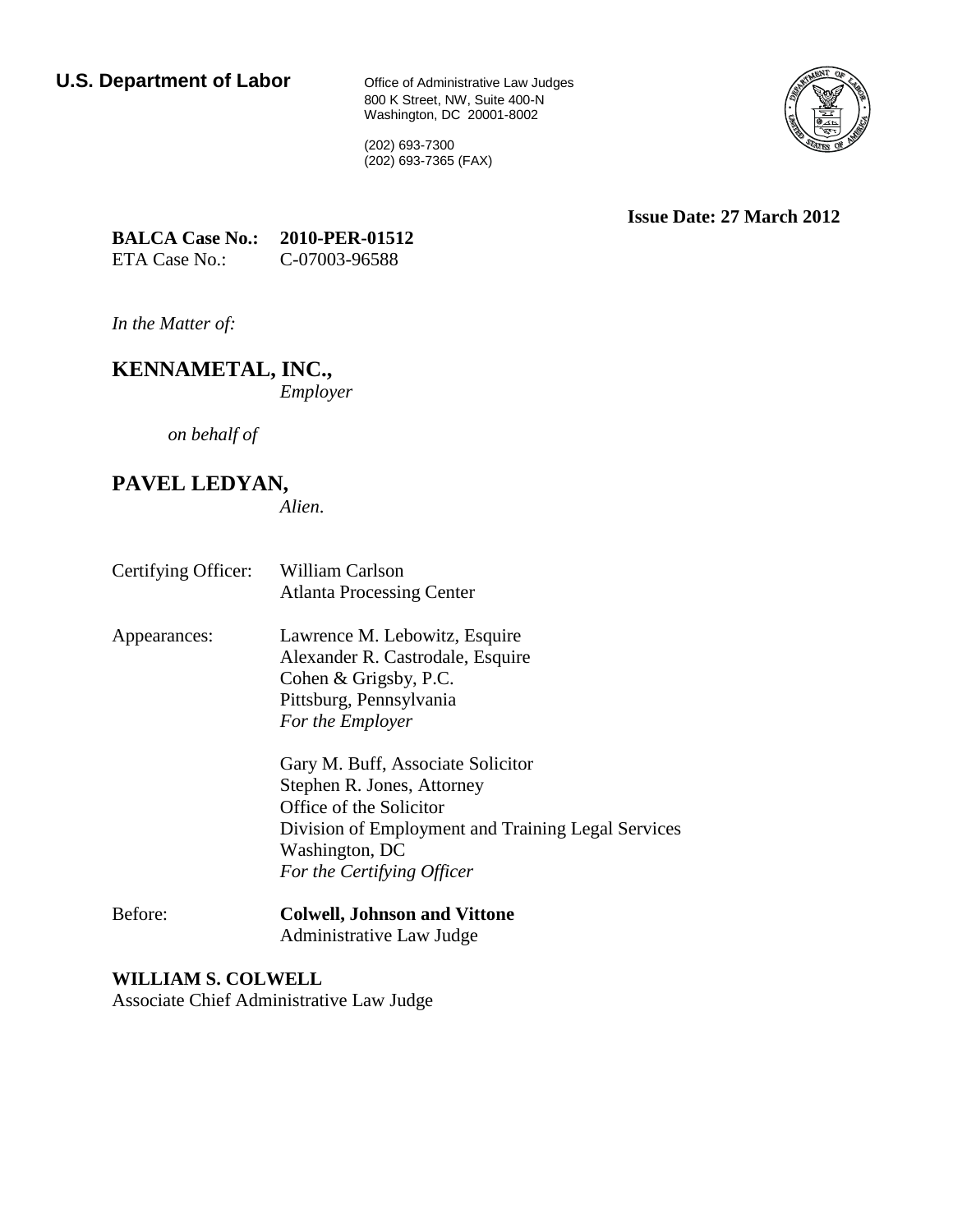800 K Street, NW, Suite 400-N Washington, DC 20001-8002



(202) 693-7300 (202) 693-7365 (FAX)

**Issue Date: 27 March 2012**

| <b>BALCA Case No.:</b> | 2010-PER-01512 |
|------------------------|----------------|
| ETA Case No.:          | C-07003-96588  |

*In the Matter of:* 

**KENNAMETAL, INC.,** *Employer* 

*on behalf of*

# **PAVEL LEDYAN,**

*Alien*.

- Certifying Officer: William Carlson Atlanta Processing Center
- Appearances: Lawrence M. Lebowitz, Esquire Alexander R. Castrodale, Esquire Cohen & Grigsby, P.C. Pittsburg, Pennsylvania *For the Employer*

Gary M. Buff, Associate Solicitor Stephen R. Jones, Attorney Office of the Solicitor Division of Employment and Training Legal Services Washington, DC *For the Certifying Officer*

Before: **Colwell, Johnson and Vittone** Administrative Law Judge

**WILLIAM S. COLWELL** Associate Chief Administrative Law Judge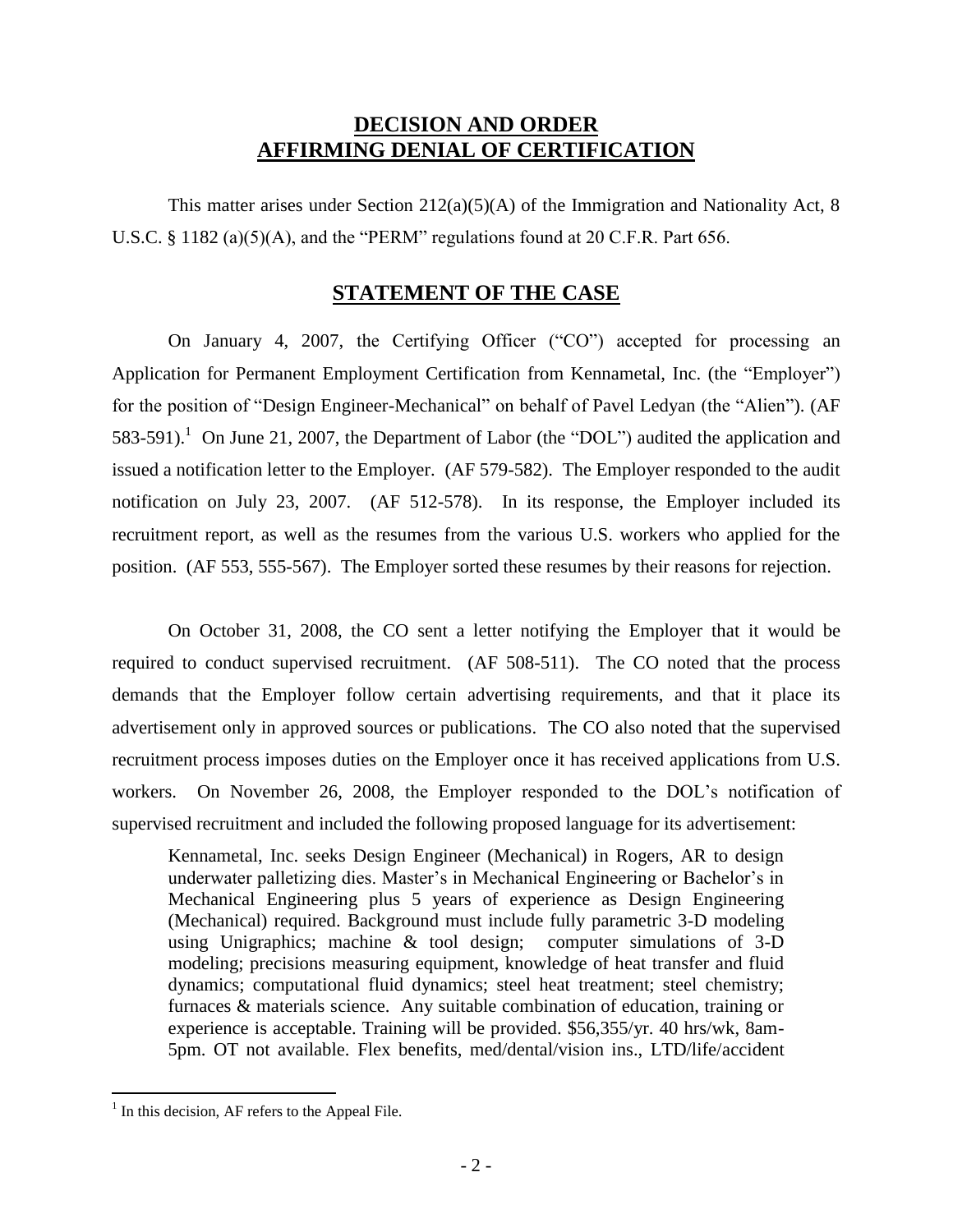## **DECISION AND ORDER AFFIRMING DENIAL OF CERTIFICATION**

This matter arises under Section  $212(a)(5)(A)$  of the Immigration and Nationality Act, 8 U.S.C. § 1182 (a)(5)(A), and the "PERM" regulations found at 20 C.F.R. Part 656.

## **STATEMENT OF THE CASE**

On January 4, 2007, the Certifying Officer ("CO") accepted for processing an Application for Permanent Employment Certification from Kennametal, Inc. (the "Employer") for the position of "Design Engineer-Mechanical" on behalf of Pavel Ledyan (the "Alien"). (AF 583-591).<sup>1</sup> On June 21, 2007, the Department of Labor (the "DOL") audited the application and issued a notification letter to the Employer. (AF 579-582). The Employer responded to the audit notification on July 23, 2007. (AF 512-578). In its response, the Employer included its recruitment report, as well as the resumes from the various U.S. workers who applied for the position. (AF 553, 555-567). The Employer sorted these resumes by their reasons for rejection.

On October 31, 2008, the CO sent a letter notifying the Employer that it would be required to conduct supervised recruitment. (AF 508-511). The CO noted that the process demands that the Employer follow certain advertising requirements, and that it place its advertisement only in approved sources or publications. The CO also noted that the supervised recruitment process imposes duties on the Employer once it has received applications from U.S. workers. On November 26, 2008, the Employer responded to the DOL's notification of supervised recruitment and included the following proposed language for its advertisement:

Kennametal, Inc. seeks Design Engineer (Mechanical) in Rogers, AR to design underwater palletizing dies. Master's in Mechanical Engineering or Bachelor's in Mechanical Engineering plus 5 years of experience as Design Engineering (Mechanical) required. Background must include fully parametric 3-D modeling using Unigraphics; machine & tool design; computer simulations of 3-D modeling; precisions measuring equipment, knowledge of heat transfer and fluid dynamics; computational fluid dynamics; steel heat treatment; steel chemistry; furnaces & materials science. Any suitable combination of education, training or experience is acceptable. Training will be provided. \$56,355/yr. 40 hrs/wk, 8am-5pm. OT not available. Flex benefits, med/dental/vision ins., LTD/life/accident

 $<sup>1</sup>$  In this decision, AF refers to the Appeal File.</sup>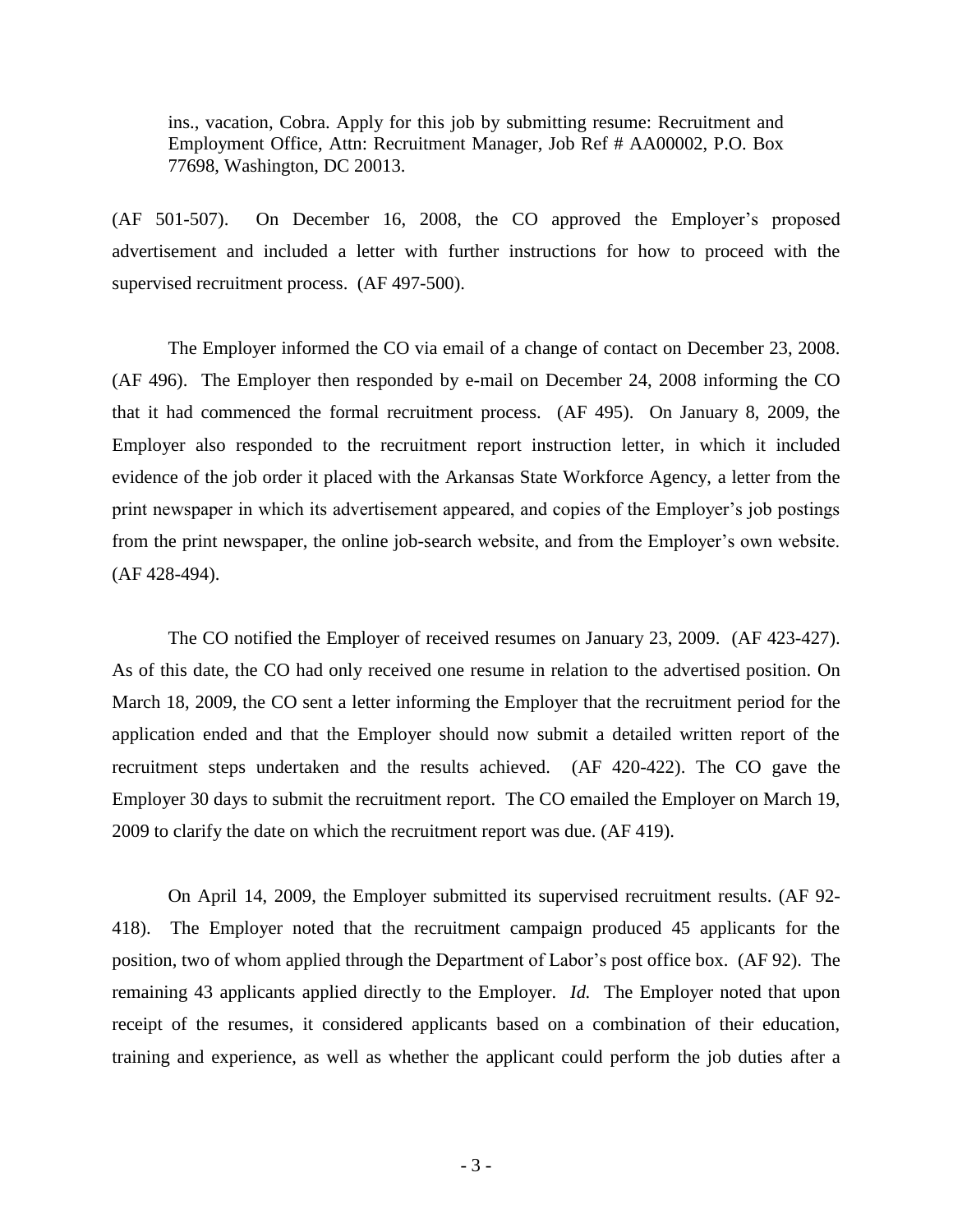ins., vacation, Cobra. Apply for this job by submitting resume: Recruitment and Employment Office, Attn: Recruitment Manager, Job Ref # AA00002, P.O. Box 77698, Washington, DC 20013.

(AF 501-507). On December 16, 2008, the CO approved the Employer's proposed advertisement and included a letter with further instructions for how to proceed with the supervised recruitment process. (AF 497-500).

The Employer informed the CO via email of a change of contact on December 23, 2008. (AF 496). The Employer then responded by e-mail on December 24, 2008 informing the CO that it had commenced the formal recruitment process. (AF 495). On January 8, 2009, the Employer also responded to the recruitment report instruction letter, in which it included evidence of the job order it placed with the Arkansas State Workforce Agency, a letter from the print newspaper in which its advertisement appeared, and copies of the Employer's job postings from the print newspaper, the online job-search website, and from the Employer's own website. (AF 428-494).

The CO notified the Employer of received resumes on January 23, 2009. (AF 423-427). As of this date, the CO had only received one resume in relation to the advertised position. On March 18, 2009, the CO sent a letter informing the Employer that the recruitment period for the application ended and that the Employer should now submit a detailed written report of the recruitment steps undertaken and the results achieved. (AF 420-422). The CO gave the Employer 30 days to submit the recruitment report. The CO emailed the Employer on March 19, 2009 to clarify the date on which the recruitment report was due. (AF 419).

On April 14, 2009, the Employer submitted its supervised recruitment results. (AF 92- 418). The Employer noted that the recruitment campaign produced 45 applicants for the position, two of whom applied through the Department of Labor's post office box. (AF 92). The remaining 43 applicants applied directly to the Employer. *Id.* The Employer noted that upon receipt of the resumes, it considered applicants based on a combination of their education, training and experience, as well as whether the applicant could perform the job duties after a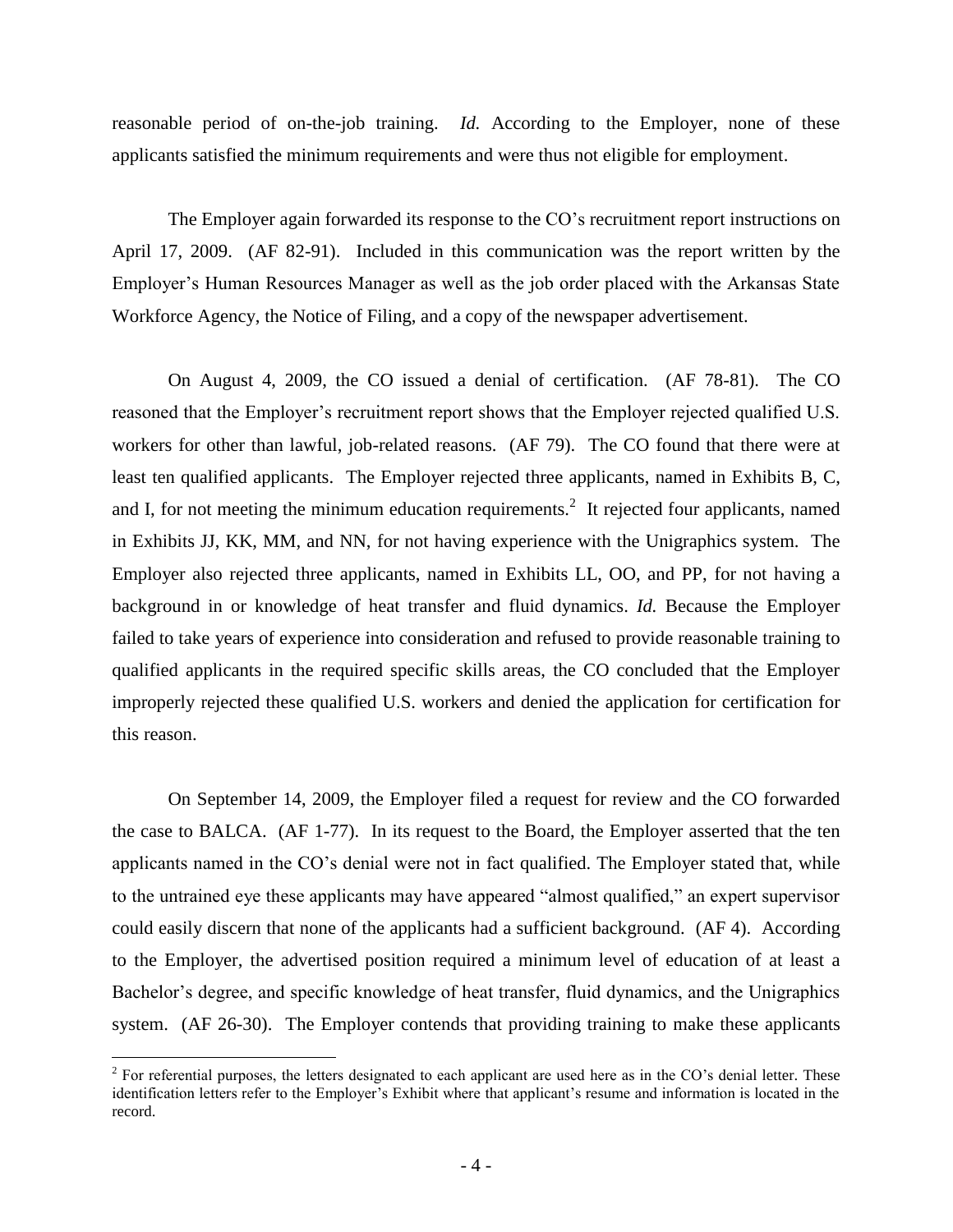reasonable period of on-the-job training. *Id.* According to the Employer, none of these applicants satisfied the minimum requirements and were thus not eligible for employment.

The Employer again forwarded its response to the CO's recruitment report instructions on April 17, 2009. (AF 82-91). Included in this communication was the report written by the Employer's Human Resources Manager as well as the job order placed with the Arkansas State Workforce Agency, the Notice of Filing, and a copy of the newspaper advertisement.

On August 4, 2009, the CO issued a denial of certification. (AF 78-81). The CO reasoned that the Employer's recruitment report shows that the Employer rejected qualified U.S. workers for other than lawful, job-related reasons. (AF 79). The CO found that there were at least ten qualified applicants. The Employer rejected three applicants, named in Exhibits B, C, and I, for not meeting the minimum education requirements.<sup>2</sup> It rejected four applicants, named in Exhibits JJ, KK, MM, and NN, for not having experience with the Unigraphics system. The Employer also rejected three applicants, named in Exhibits LL, OO, and PP, for not having a background in or knowledge of heat transfer and fluid dynamics. *Id.* Because the Employer failed to take years of experience into consideration and refused to provide reasonable training to qualified applicants in the required specific skills areas, the CO concluded that the Employer improperly rejected these qualified U.S. workers and denied the application for certification for this reason.

On September 14, 2009, the Employer filed a request for review and the CO forwarded the case to BALCA. (AF 1-77). In its request to the Board, the Employer asserted that the ten applicants named in the CO's denial were not in fact qualified. The Employer stated that, while to the untrained eye these applicants may have appeared "almost qualified," an expert supervisor could easily discern that none of the applicants had a sufficient background. (AF 4). According to the Employer, the advertised position required a minimum level of education of at least a Bachelor's degree, and specific knowledge of heat transfer, fluid dynamics, and the Unigraphics system. (AF 26-30). The Employer contends that providing training to make these applicants

 $2^2$  For referential purposes, the letters designated to each applicant are used here as in the CO's denial letter. These identification letters refer to the Employer's Exhibit where that applicant's resume and information is located in the record.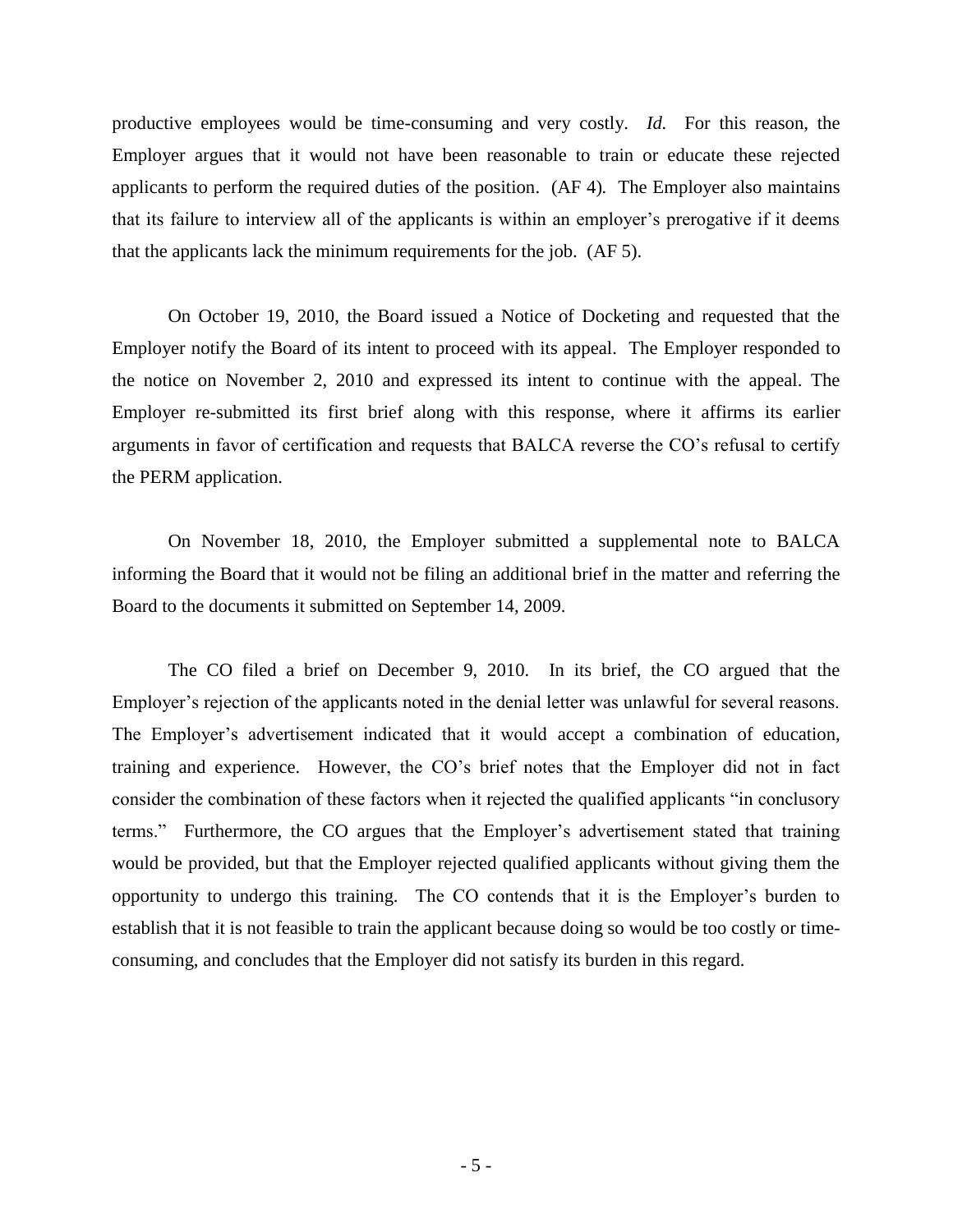productive employees would be time-consuming and very costly. *Id.* For this reason, the Employer argues that it would not have been reasonable to train or educate these rejected applicants to perform the required duties of the position. (AF 4)*.* The Employer also maintains that its failure to interview all of the applicants is within an employer's prerogative if it deems that the applicants lack the minimum requirements for the job. (AF 5).

On October 19, 2010, the Board issued a Notice of Docketing and requested that the Employer notify the Board of its intent to proceed with its appeal. The Employer responded to the notice on November 2, 2010 and expressed its intent to continue with the appeal. The Employer re-submitted its first brief along with this response, where it affirms its earlier arguments in favor of certification and requests that BALCA reverse the CO's refusal to certify the PERM application.

On November 18, 2010, the Employer submitted a supplemental note to BALCA informing the Board that it would not be filing an additional brief in the matter and referring the Board to the documents it submitted on September 14, 2009.

The CO filed a brief on December 9, 2010. In its brief, the CO argued that the Employer's rejection of the applicants noted in the denial letter was unlawful for several reasons. The Employer's advertisement indicated that it would accept a combination of education, training and experience. However, the CO's brief notes that the Employer did not in fact consider the combination of these factors when it rejected the qualified applicants "in conclusory terms." Furthermore, the CO argues that the Employer's advertisement stated that training would be provided, but that the Employer rejected qualified applicants without giving them the opportunity to undergo this training. The CO contends that it is the Employer's burden to establish that it is not feasible to train the applicant because doing so would be too costly or timeconsuming, and concludes that the Employer did not satisfy its burden in this regard.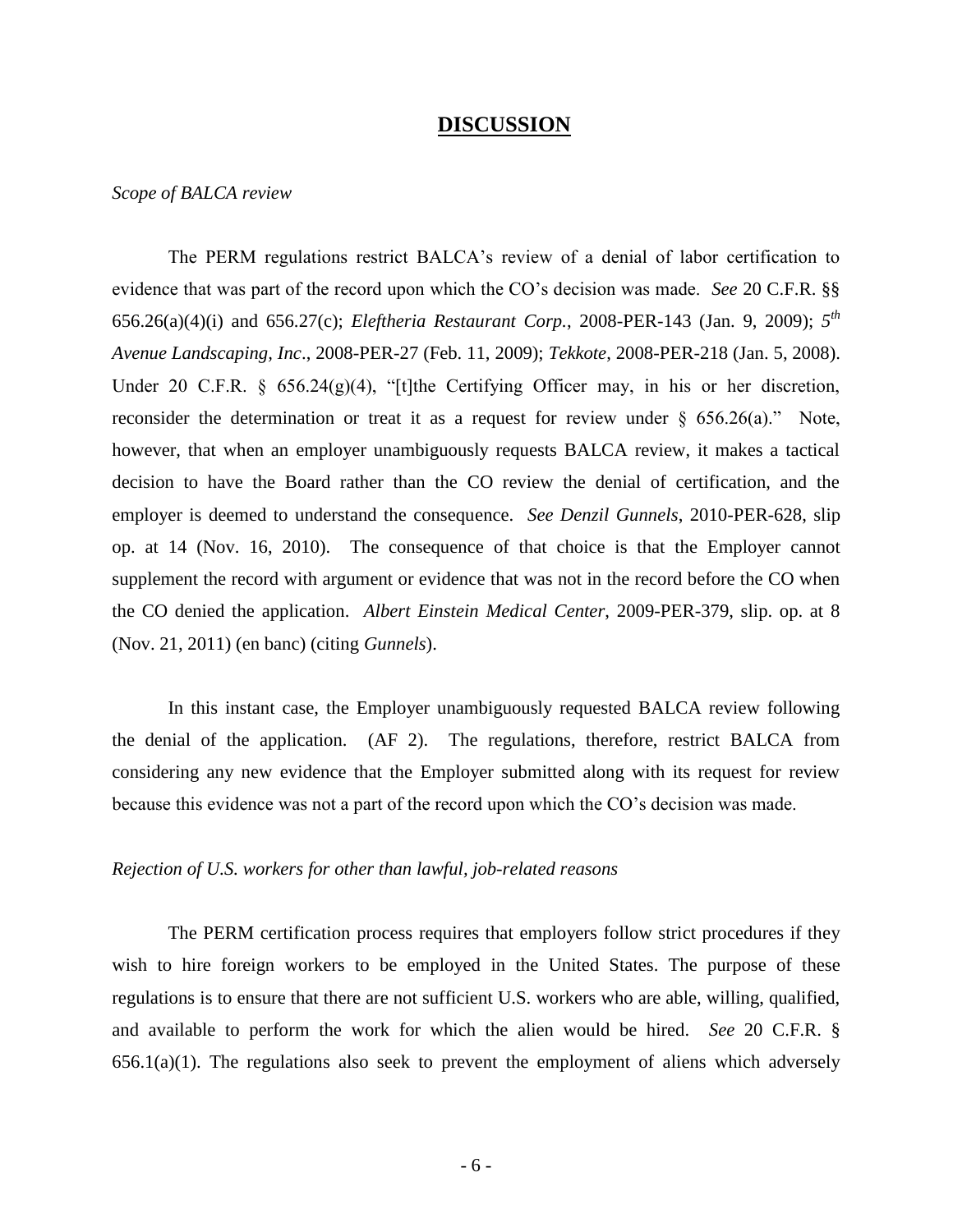#### **DISCUSSION**

*Scope of BALCA review*

The PERM regulations restrict BALCA's review of a denial of labor certification to evidence that was part of the record upon which the CO's decision was made. *See* 20 C.F.R. §§ 656.26(a)(4)(i) and 656.27(c); *Eleftheria Restaurant Corp.*, 2008-PER-143 (Jan. 9, 2009); *5 th Avenue Landscaping, Inc*., 2008-PER-27 (Feb. 11, 2009); *Tekkote*, 2008-PER-218 (Jan. 5, 2008). Under 20 C.F.R. § 656.24(g)(4), "[t]the Certifying Officer may, in his or her discretion, reconsider the determination or treat it as a request for review under  $\S$  656.26(a)." Note, however, that when an employer unambiguously requests BALCA review, it makes a tactical decision to have the Board rather than the CO review the denial of certification, and the employer is deemed to understand the consequence. *See Denzil Gunnels*, 2010-PER-628, slip op. at 14 (Nov. 16, 2010). The consequence of that choice is that the Employer cannot supplement the record with argument or evidence that was not in the record before the CO when the CO denied the application. *Albert Einstein Medical Center*, 2009-PER-379, slip. op. at 8 (Nov. 21, 2011) (en banc) (citing *Gunnels*).

In this instant case, the Employer unambiguously requested BALCA review following the denial of the application. (AF 2). The regulations, therefore, restrict BALCA from considering any new evidence that the Employer submitted along with its request for review because this evidence was not a part of the record upon which the CO's decision was made.

#### *Rejection of U.S. workers for other than lawful, job-related reasons*

The PERM certification process requires that employers follow strict procedures if they wish to hire foreign workers to be employed in the United States. The purpose of these regulations is to ensure that there are not sufficient U.S. workers who are able, willing, qualified, and available to perform the work for which the alien would be hired. *See* 20 C.F.R. §  $656.1(a)(1)$ . The regulations also seek to prevent the employment of aliens which adversely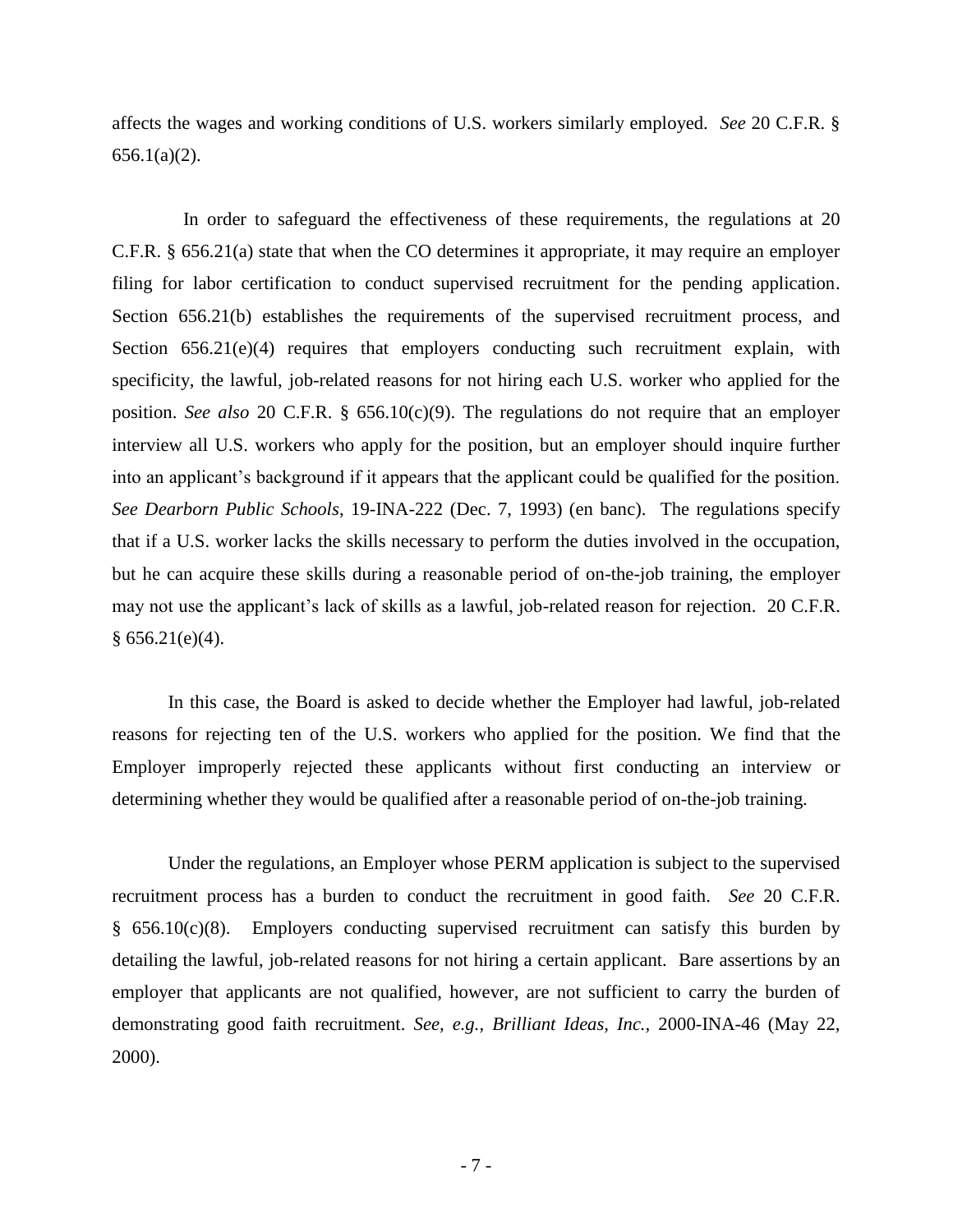affects the wages and working conditions of U.S. workers similarly employed. *See* 20 C.F.R. §  $656.1(a)(2)$ .

In order to safeguard the effectiveness of these requirements, the regulations at 20 C.F.R. § 656.21(a) state that when the CO determines it appropriate, it may require an employer filing for labor certification to conduct supervised recruitment for the pending application. Section 656.21(b) establishes the requirements of the supervised recruitment process, and Section 656.21(e)(4) requires that employers conducting such recruitment explain, with specificity, the lawful, job-related reasons for not hiring each U.S. worker who applied for the position. *See also* 20 C.F.R. § 656.10(c)(9). The regulations do not require that an employer interview all U.S. workers who apply for the position, but an employer should inquire further into an applicant's background if it appears that the applicant could be qualified for the position. *See Dearborn Public Schools*, 19-INA-222 (Dec. 7, 1993) (en banc). The regulations specify that if a U.S. worker lacks the skills necessary to perform the duties involved in the occupation, but he can acquire these skills during a reasonable period of on-the-job training, the employer may not use the applicant's lack of skills as a lawful, job-related reason for rejection. 20 C.F.R.  $§ 656.21(e)(4).$ 

In this case, the Board is asked to decide whether the Employer had lawful, job-related reasons for rejecting ten of the U.S. workers who applied for the position. We find that the Employer improperly rejected these applicants without first conducting an interview or determining whether they would be qualified after a reasonable period of on-the-job training.

Under the regulations, an Employer whose PERM application is subject to the supervised recruitment process has a burden to conduct the recruitment in good faith. *See* 20 C.F.R. § 656.10(c)(8). Employers conducting supervised recruitment can satisfy this burden by detailing the lawful, job-related reasons for not hiring a certain applicant. Bare assertions by an employer that applicants are not qualified, however, are not sufficient to carry the burden of demonstrating good faith recruitment. *See, e.g., Brilliant Ideas, Inc.,* 2000-INA-46 (May 22, 2000).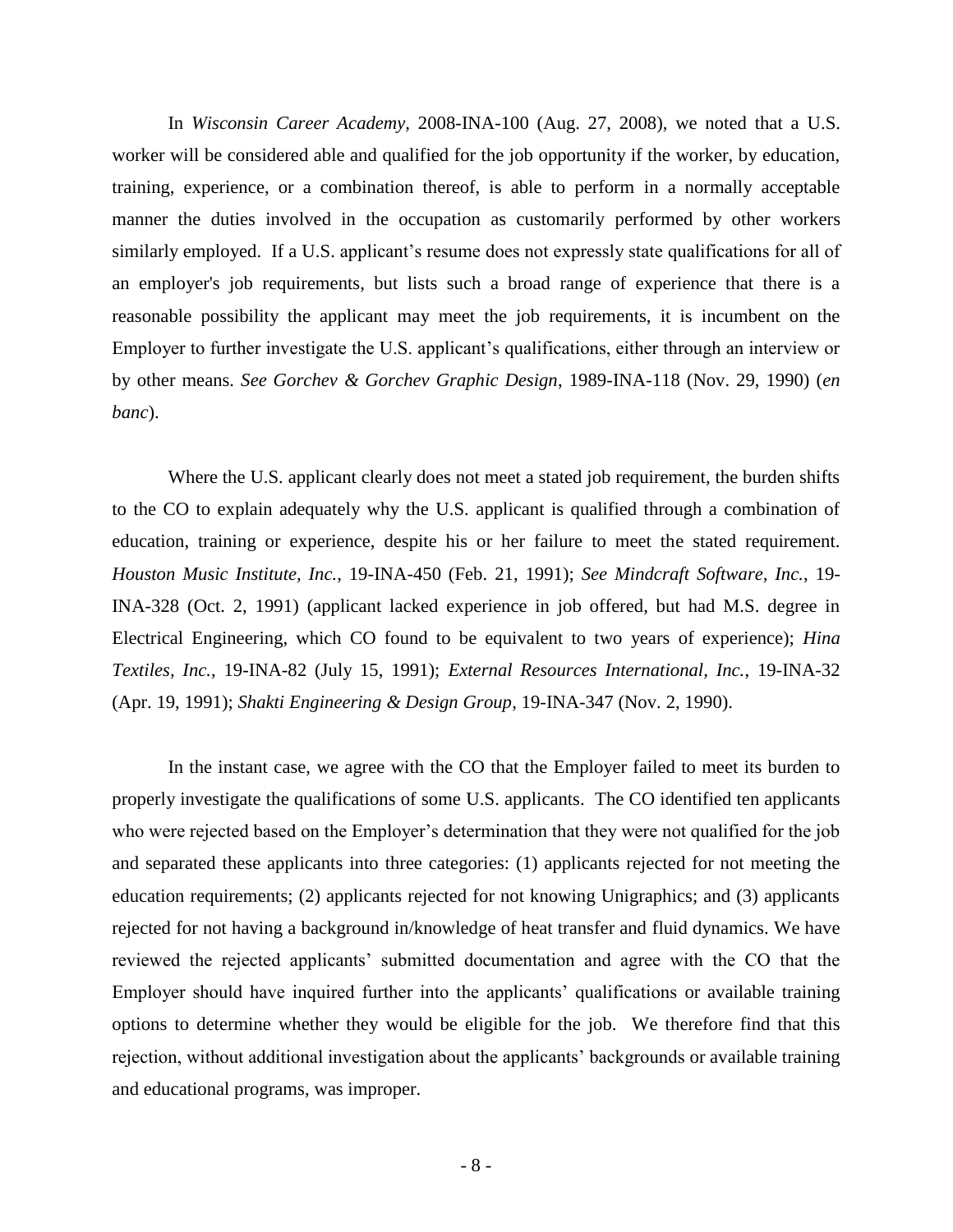In *Wisconsin Career Academy,* 2008-INA-100 (Aug. 27, 2008), we noted that a U.S. worker will be considered able and qualified for the job opportunity if the worker, by education, training, experience, or a combination thereof, is able to perform in a normally acceptable manner the duties involved in the occupation as customarily performed by other workers similarly employed. If a U.S. applicant's resume does not expressly state qualifications for all of an employer's job requirements, but lists such a broad range of experience that there is a reasonable possibility the applicant may meet the job requirements, it is incumbent on the Employer to further investigate the U.S. applicant's qualifications, either through an interview or by other means. *See Gorchev & Gorchev Graphic Design*, 1989-INA-118 (Nov. 29, 1990) (*en banc*).

Where the U.S. applicant clearly does not meet a stated job requirement, the burden shifts to the CO to explain adequately why the U.S. applicant is qualified through a combination of education, training or experience, despite his or her failure to meet the stated requirement. *Houston Music Institute, Inc.*, 19-INA-450 (Feb. 21, 1991); *See Mindcraft Software, Inc.*, 19- INA-328 (Oct. 2, 1991) (applicant lacked experience in job offered, but had M.S. degree in Electrical Engineering, which CO found to be equivalent to two years of experience); *Hina Textiles, Inc.*, 19-INA-82 (July 15, 1991); *External Resources International, Inc.*, 19-INA-32 (Apr. 19, 1991); *Shakti Engineering & Design Group*, 19-INA-347 (Nov. 2, 1990).

In the instant case, we agree with the CO that the Employer failed to meet its burden to properly investigate the qualifications of some U.S. applicants. The CO identified ten applicants who were rejected based on the Employer's determination that they were not qualified for the job and separated these applicants into three categories: (1) applicants rejected for not meeting the education requirements; (2) applicants rejected for not knowing Unigraphics; and (3) applicants rejected for not having a background in/knowledge of heat transfer and fluid dynamics. We have reviewed the rejected applicants' submitted documentation and agree with the CO that the Employer should have inquired further into the applicants' qualifications or available training options to determine whether they would be eligible for the job. We therefore find that this rejection, without additional investigation about the applicants' backgrounds or available training and educational programs, was improper.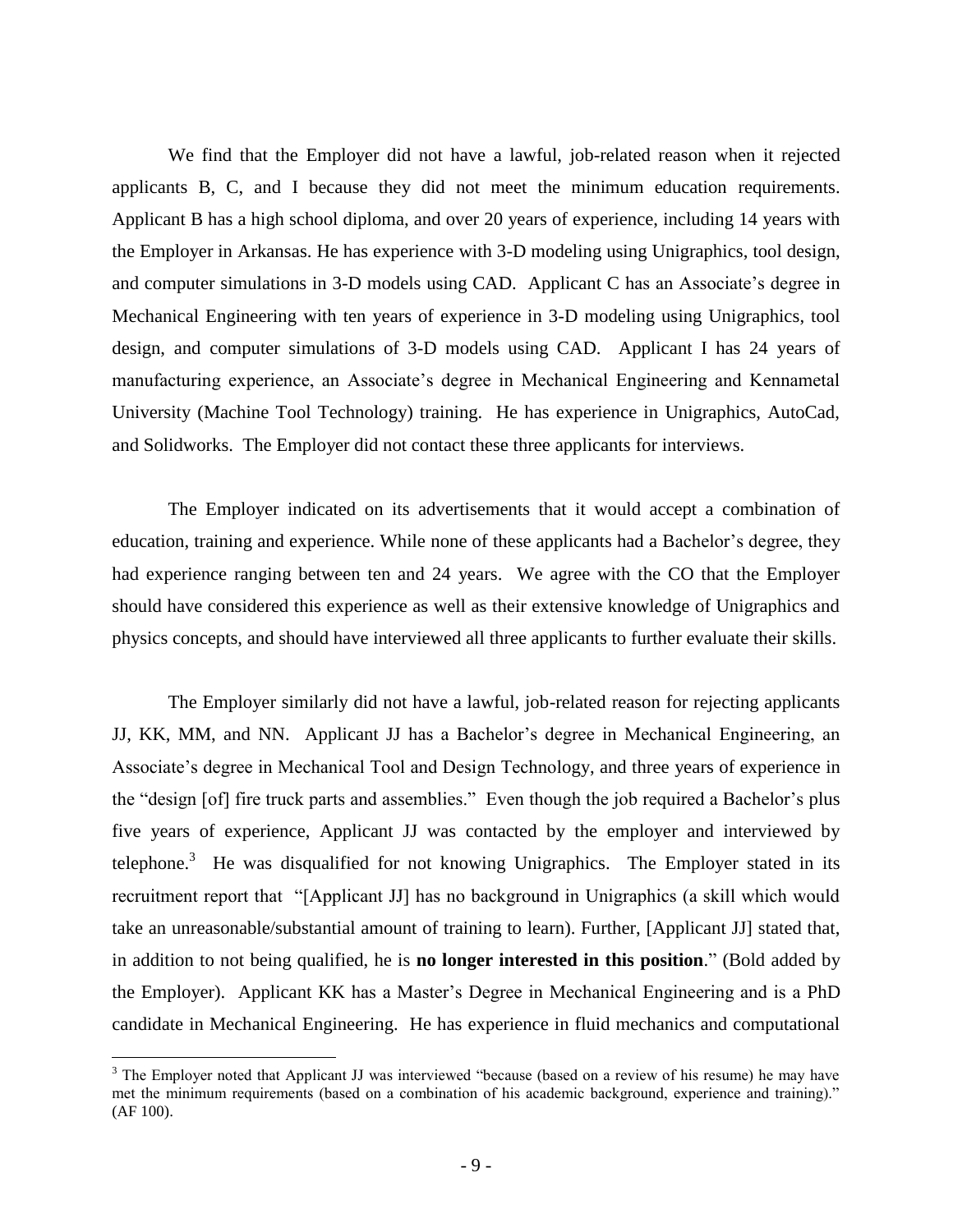We find that the Employer did not have a lawful, job-related reason when it rejected applicants B, C, and I because they did not meet the minimum education requirements. Applicant B has a high school diploma, and over 20 years of experience, including 14 years with the Employer in Arkansas. He has experience with 3-D modeling using Unigraphics, tool design, and computer simulations in 3-D models using CAD. Applicant C has an Associate's degree in Mechanical Engineering with ten years of experience in 3-D modeling using Unigraphics, tool design, and computer simulations of 3-D models using CAD. Applicant I has 24 years of manufacturing experience, an Associate's degree in Mechanical Engineering and Kennametal University (Machine Tool Technology) training. He has experience in Unigraphics, AutoCad, and Solidworks. The Employer did not contact these three applicants for interviews.

The Employer indicated on its advertisements that it would accept a combination of education, training and experience. While none of these applicants had a Bachelor's degree, they had experience ranging between ten and 24 years. We agree with the CO that the Employer should have considered this experience as well as their extensive knowledge of Unigraphics and physics concepts, and should have interviewed all three applicants to further evaluate their skills.

The Employer similarly did not have a lawful, job-related reason for rejecting applicants JJ, KK, MM, and NN. Applicant JJ has a Bachelor's degree in Mechanical Engineering, an Associate's degree in Mechanical Tool and Design Technology, and three years of experience in the "design [of] fire truck parts and assemblies." Even though the job required a Bachelor's plus five years of experience, Applicant JJ was contacted by the employer and interviewed by telephone.<sup>3</sup> He was disqualified for not knowing Unigraphics. The Employer stated in its recruitment report that "[Applicant JJ] has no background in Unigraphics (a skill which would take an unreasonable/substantial amount of training to learn). Further, [Applicant JJ] stated that, in addition to not being qualified, he is **no longer interested in this position**." (Bold added by the Employer). Applicant KK has a Master's Degree in Mechanical Engineering and is a PhD candidate in Mechanical Engineering. He has experience in fluid mechanics and computational

<sup>&</sup>lt;sup>3</sup> The Employer noted that Applicant JJ was interviewed "because (based on a review of his resume) he may have met the minimum requirements (based on a combination of his academic background, experience and training)." (AF 100).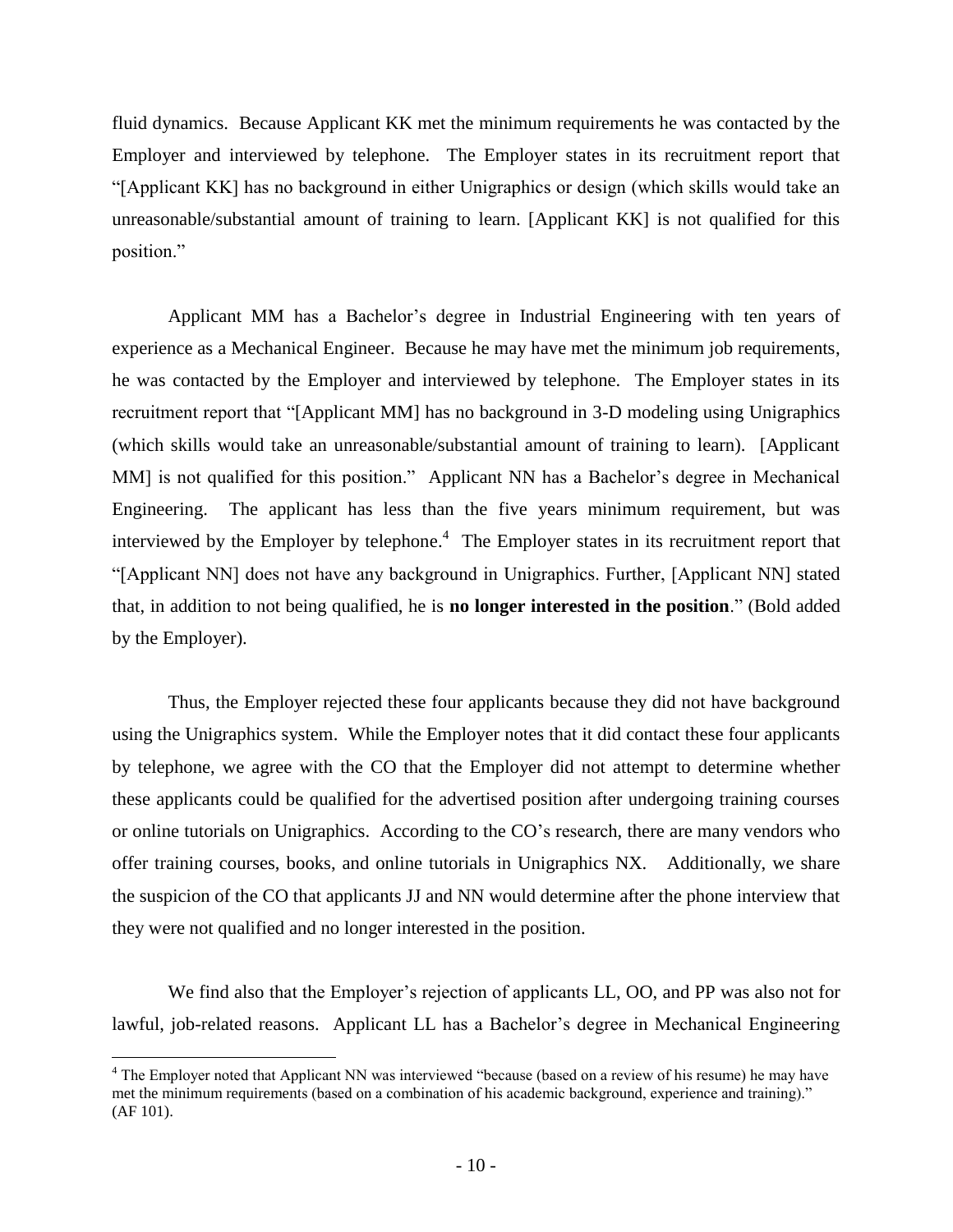fluid dynamics. Because Applicant KK met the minimum requirements he was contacted by the Employer and interviewed by telephone. The Employer states in its recruitment report that "[Applicant KK] has no background in either Unigraphics or design (which skills would take an unreasonable/substantial amount of training to learn. [Applicant KK] is not qualified for this position."

Applicant MM has a Bachelor's degree in Industrial Engineering with ten years of experience as a Mechanical Engineer. Because he may have met the minimum job requirements, he was contacted by the Employer and interviewed by telephone. The Employer states in its recruitment report that "[Applicant MM] has no background in 3-D modeling using Unigraphics (which skills would take an unreasonable/substantial amount of training to learn). [Applicant MM] is not qualified for this position." Applicant NN has a Bachelor's degree in Mechanical Engineering. The applicant has less than the five years minimum requirement, but was interviewed by the Employer by telephone.<sup>4</sup> The Employer states in its recruitment report that "[Applicant NN] does not have any background in Unigraphics. Further, [Applicant NN] stated that, in addition to not being qualified, he is **no longer interested in the position**." (Bold added by the Employer).

Thus, the Employer rejected these four applicants because they did not have background using the Unigraphics system. While the Employer notes that it did contact these four applicants by telephone, we agree with the CO that the Employer did not attempt to determine whether these applicants could be qualified for the advertised position after undergoing training courses or online tutorials on Unigraphics. According to the CO's research, there are many vendors who offer training courses, books, and online tutorials in Unigraphics NX. Additionally, we share the suspicion of the CO that applicants JJ and NN would determine after the phone interview that they were not qualified and no longer interested in the position.

We find also that the Employer's rejection of applicants LL, OO, and PP was also not for lawful, job-related reasons. Applicant LL has a Bachelor's degree in Mechanical Engineering

<sup>4</sup> The Employer noted that Applicant NN was interviewed "because (based on a review of his resume) he may have met the minimum requirements (based on a combination of his academic background, experience and training)." (AF 101).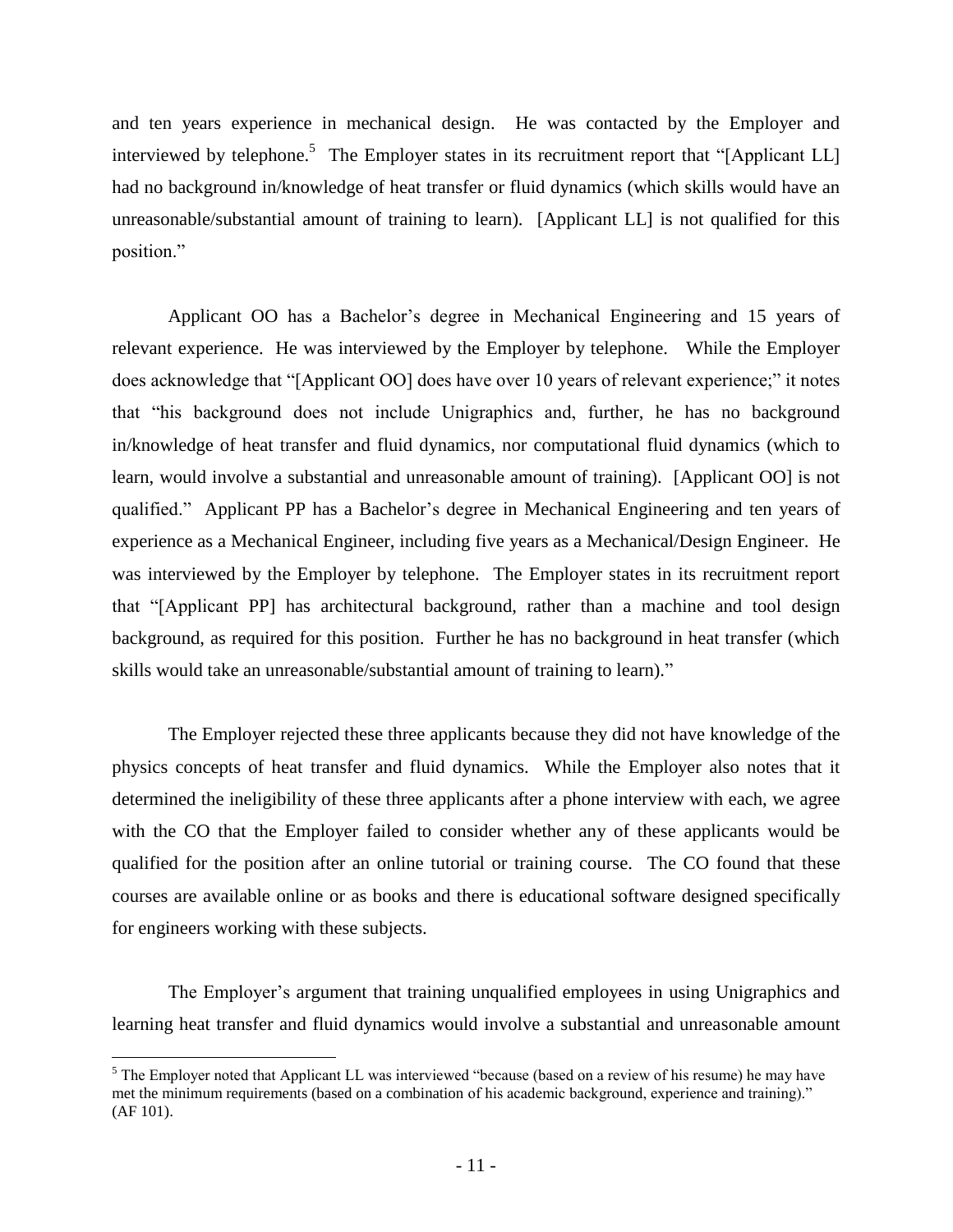and ten years experience in mechanical design. He was contacted by the Employer and interviewed by telephone.<sup>5</sup> The Employer states in its recruitment report that "[Applicant LL] had no background in/knowledge of heat transfer or fluid dynamics (which skills would have an unreasonable/substantial amount of training to learn). [Applicant LL] is not qualified for this position."

Applicant OO has a Bachelor's degree in Mechanical Engineering and 15 years of relevant experience. He was interviewed by the Employer by telephone. While the Employer does acknowledge that "[Applicant OO] does have over 10 years of relevant experience;" it notes that "his background does not include Unigraphics and, further, he has no background in/knowledge of heat transfer and fluid dynamics, nor computational fluid dynamics (which to learn, would involve a substantial and unreasonable amount of training). [Applicant OO] is not qualified." Applicant PP has a Bachelor's degree in Mechanical Engineering and ten years of experience as a Mechanical Engineer, including five years as a Mechanical/Design Engineer. He was interviewed by the Employer by telephone. The Employer states in its recruitment report that "[Applicant PP] has architectural background, rather than a machine and tool design background, as required for this position. Further he has no background in heat transfer (which skills would take an unreasonable/substantial amount of training to learn)."

The Employer rejected these three applicants because they did not have knowledge of the physics concepts of heat transfer and fluid dynamics. While the Employer also notes that it determined the ineligibility of these three applicants after a phone interview with each, we agree with the CO that the Employer failed to consider whether any of these applicants would be qualified for the position after an online tutorial or training course. The CO found that these courses are available online or as books and there is educational software designed specifically for engineers working with these subjects.

The Employer's argument that training unqualified employees in using Unigraphics and learning heat transfer and fluid dynamics would involve a substantial and unreasonable amount

<sup>&</sup>lt;sup>5</sup> The Employer noted that Applicant LL was interviewed "because (based on a review of his resume) he may have met the minimum requirements (based on a combination of his academic background, experience and training)." (AF 101).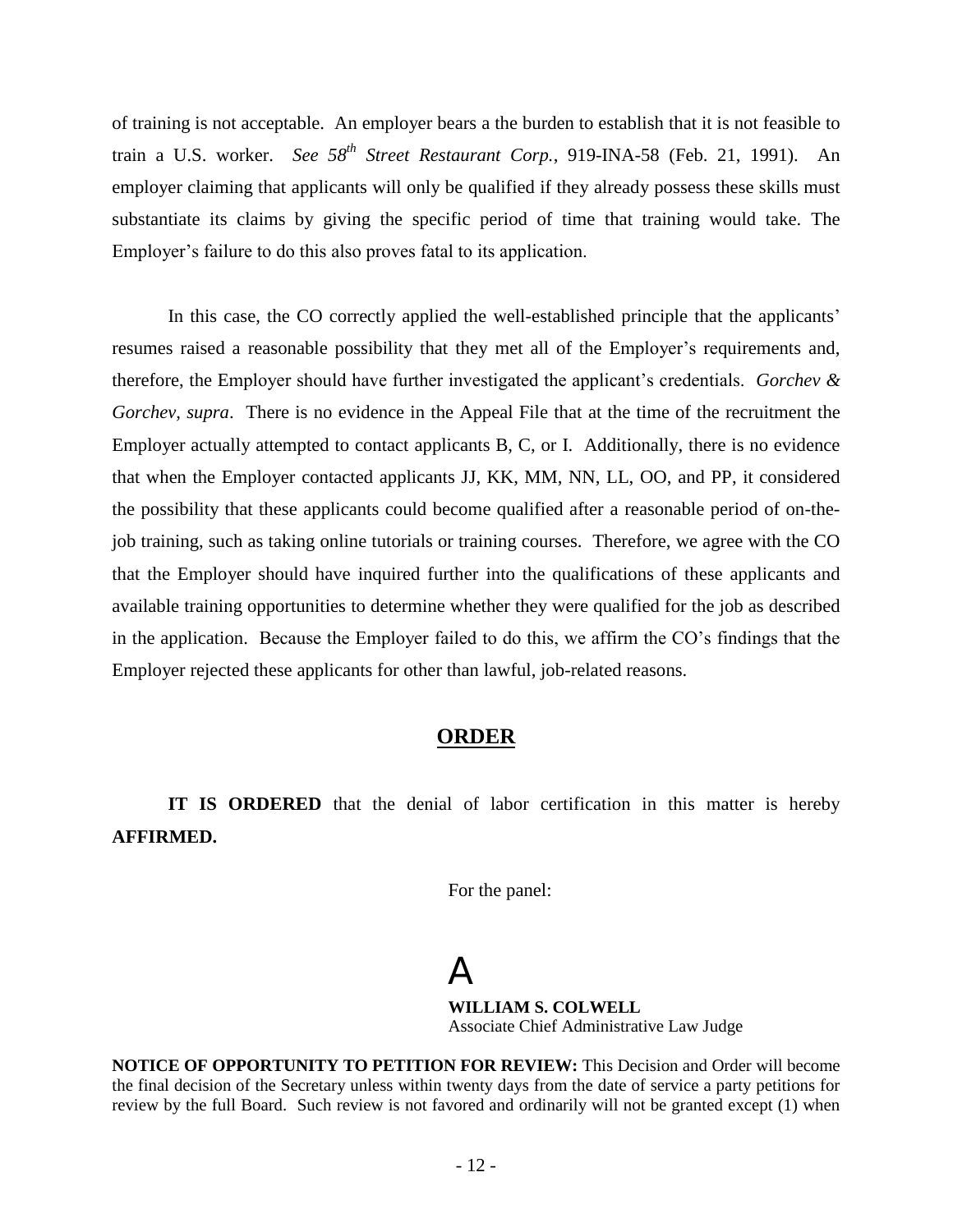of training is not acceptable. An employer bears a the burden to establish that it is not feasible to train a U.S. worker. *See 58th Street Restaurant Corp.*, 919-INA-58 (Feb. 21, 1991). An employer claiming that applicants will only be qualified if they already possess these skills must substantiate its claims by giving the specific period of time that training would take. The Employer's failure to do this also proves fatal to its application.

In this case, the CO correctly applied the well-established principle that the applicants' resumes raised a reasonable possibility that they met all of the Employer's requirements and, therefore, the Employer should have further investigated the applicant's credentials. *Gorchev & Gorchev, supra*. There is no evidence in the Appeal File that at the time of the recruitment the Employer actually attempted to contact applicants B, C, or I. Additionally, there is no evidence that when the Employer contacted applicants JJ, KK, MM, NN, LL, OO, and PP, it considered the possibility that these applicants could become qualified after a reasonable period of on-thejob training, such as taking online tutorials or training courses. Therefore, we agree with the CO that the Employer should have inquired further into the qualifications of these applicants and available training opportunities to determine whether they were qualified for the job as described in the application. Because the Employer failed to do this, we affirm the CO's findings that the Employer rejected these applicants for other than lawful, job-related reasons.

### **ORDER**

**IT IS ORDERED** that the denial of labor certification in this matter is hereby **AFFIRMED.**

For the panel:

 $\Delta$ **WILLIAM S. COLWELL** Associate Chief Administrative Law Judge

**NOTICE OF OPPORTUNITY TO PETITION FOR REVIEW:** This Decision and Order will become the final decision of the Secretary unless within twenty days from the date of service a party petitions for review by the full Board. Such review is not favored and ordinarily will not be granted except (1) when